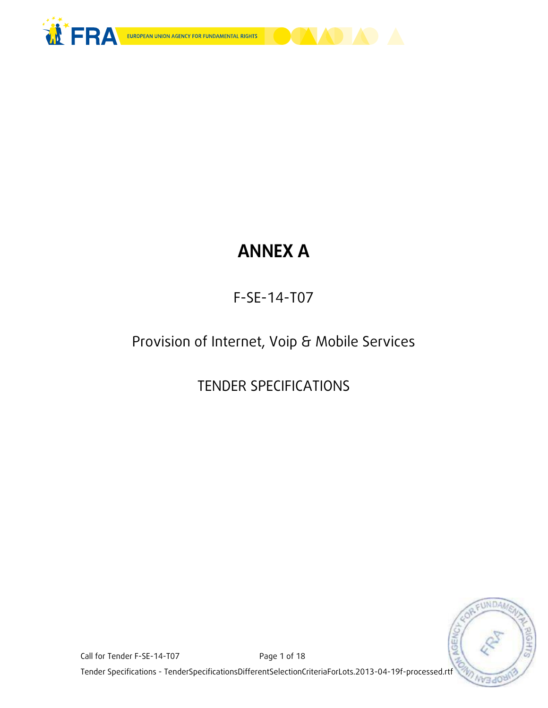

# **ANNEX A**

F-SE-14-T07

Provision of Internet, Voip & Mobile Services

TENDER SPECIFICATIONS



Call for Tender F-SE-14-T07 Page 1 of 18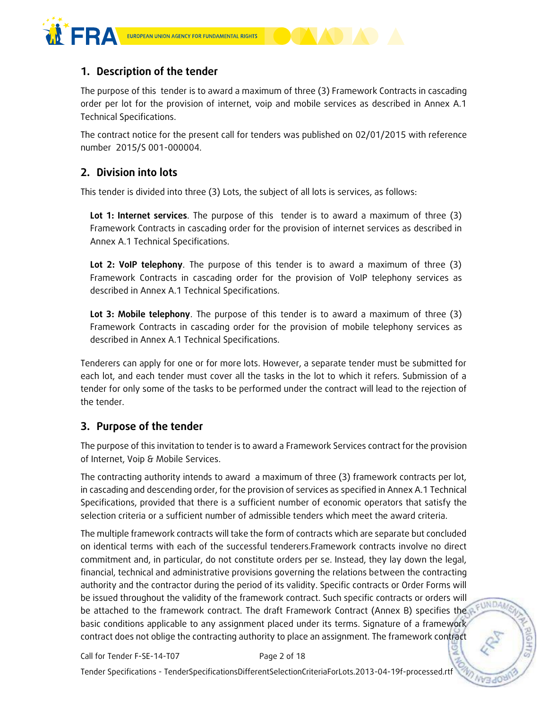

# **1. Description of the tender**

The purpose of this tender is to award a maximum of three (3) Framework Contracts in cascading order per lot for the provision of internet, voip and mobile services as described in Annex A.1 Technical Specifications.

The contract notice for the present call for tenders was published on 02/01/2015 with reference number 2015/S 001-000004.

# **2. Division into lots**

This tender is divided into three (3) Lots, the subject of all lots is services, as follows:

**Lot 1: Internet services**. The purpose of this tender is to award a maximum of three (3) Framework Contracts in cascading order for the provision of internet services as described in Annex A.1 Technical Specifications.

**Lot 2: VoIP telephony**. The purpose of this tender is to award a maximum of three (3) Framework Contracts in cascading order for the provision of VoIP telephony services as described in Annex A.1 Technical Specifications.

**Lot 3: Mobile telephony**. The purpose of this tender is to award a maximum of three (3) Framework Contracts in cascading order for the provision of mobile telephony services as described in Annex A.1 Technical Specifications.

Tenderers can apply for one or for more lots. However, a separate tender must be submitted for each lot, and each tender must cover all the tasks in the lot to which it refers. Submission of a tender for only some of the tasks to be performed under the contract will lead to the rejection of the tender.

# **3. Purpose of the tender**

The purpose of this invitation to tender is to award a Framework Services contract for the provision of Internet, Voip & Mobile Services.

The contracting authority intends to award a maximum of three (3) framework contracts per lot, in cascading and descending order, for the provision of services as specified in Annex A.1 Technical Specifications, provided that there is a sufficient number of economic operators that satisfy the selection criteria or a sufficient number of admissible tenders which meet the award criteria.

The multiple framework contracts will take the form of contracts which are separate but concluded on identical terms with each of the successful tenderers.Framework contracts involve no direct commitment and, in particular, do not constitute orders per se. Instead, they lay down the legal, financial, technical and administrative provisions governing the relations between the contracting authority and the contractor during the period of its validity. Specific contracts or Order Forms will be issued throughout the validity of the framework contract. Such specific contracts or orders will be attached to the framework contract. The draft Framework Contract (Annex B) specifies the basic conditions applicable to any assignment placed under its terms. Signature of a framework contract does not oblige the contracting authority to place an assignment. The framework contract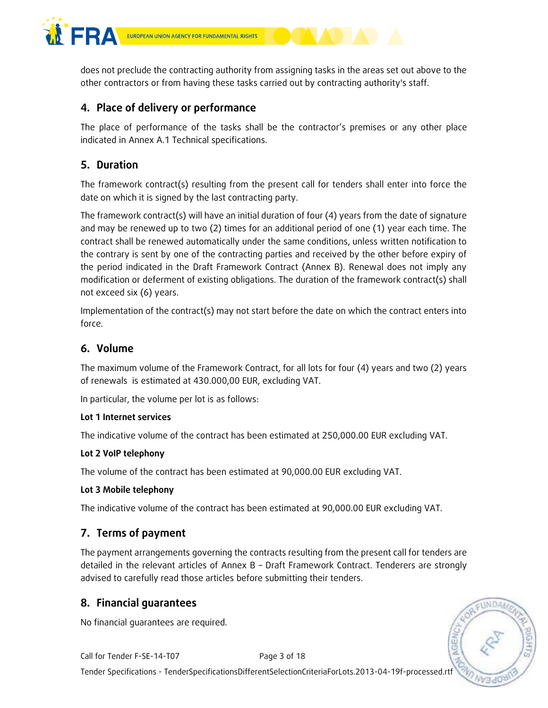

does not preclude the contracting authority from assigning tasks in the areas set out above to the other contractors or from having these tasks carried out by contracting authority's staff.

# **4. Place of delivery or performance**

The place of performance of the tasks shall be the contractor's premises or any other place indicated in Annex A.1 Technical specifications.

# **5. Duration**

The framework contract(s) resulting from the present call for tenders shall enter into force the date on which it is signed by the last contracting party.

The framework contract(s) will have an initial duration of four (4) years from the date of signature and may be renewed up to two (2) times for an additional period of one (1) year each time. The contract shall be renewed automatically under the same conditions, unless written notification to the contrary is sent by one of the contracting parties and received by the other before expiry of the period indicated in the Draft Framework Contract (Annex B). Renewal does not imply any modification or deferment of existing obligations. The duration of the framework contract(s) shall not exceed six (6) years.

Implementation of the contract(s) may not start before the date on which the contract enters into force.

# **6. Volume**

The maximum volume of the Framework Contract, for all lots for four (4) years and two (2) years of renewals is estimated at 430.000,00 EUR, excluding VAT.

In particular, the volume per lot is as follows:

### **Lot 1 Internet services**

The indicative volume of the contract has been estimated at 250,000.00 EUR excluding VAT.

### **Lot 2 VoIP telephony**

The volume of the contract has been estimated at 90,000.00 EUR excluding VAT.

### **Lot 3 Mobile telephony**

The indicative volume of the contract has been estimated at 90,000.00 EUR excluding VAT.

# **7. Terms of payment**

The payment arrangements governing the contracts resulting from the present call for tenders are detailed in the relevant articles of Annex B – Draft Framework Contract. Tenderers are strongly advised to carefully read those articles before submitting their tenders.

# **8. Financial guarantees**

No financial guarantees are required.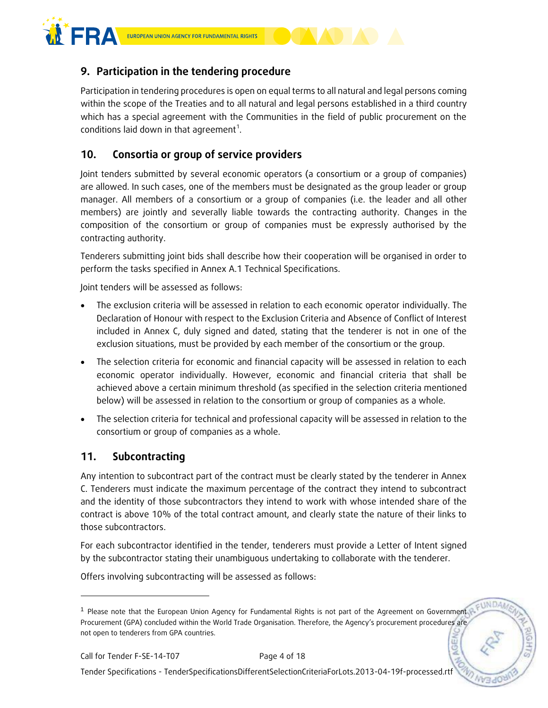

# **9. Participation in the tendering procedure**

Participation in tendering procedures is open on equal terms to all natural and legal persons coming within the scope of the Treaties and to all natural and legal persons established in a third country which has a special agreement with the Communities in the field of public procurement on the conditions laid down in that agreement<sup>1</sup>.

# **10. Consortia or group of service providers**

Joint tenders submitted by several economic operators (a consortium or a group of companies) are allowed. In such cases, one of the members must be designated as the group leader or group manager. All members of a consortium or a group of companies (i.e. the leader and all other members) are jointly and severally liable towards the contracting authority. Changes in the composition of the consortium or group of companies must be expressly authorised by the contracting authority.

Tenderers submitting joint bids shall describe how their cooperation will be organised in order to perform the tasks specified in Annex A.1 Technical Specifications.

Joint tenders will be assessed as follows:

- The exclusion criteria will be assessed in relation to each economic operator individually. The Declaration of Honour with respect to the Exclusion Criteria and Absence of Conflict of Interest included in Annex C, duly signed and dated, stating that the tenderer is not in one of the exclusion situations, must be provided by each member of the consortium or the group.
- The selection criteria for economic and financial capacity will be assessed in relation to each economic operator individually. However, economic and financial criteria that shall be achieved above a certain minimum threshold (as specified in the selection criteria mentioned below) will be assessed in relation to the consortium or group of companies as a whole.
- The selection criteria for technical and professional capacity will be assessed in relation to the consortium or group of companies as a whole.

# **11. Subcontracting**

Any intention to subcontract part of the contract must be clearly stated by the tenderer in Annex C. Tenderers must indicate the maximum percentage of the contract they intend to subcontract and the identity of those subcontractors they intend to work with whose intended share of the contract is above 10% of the total contract amount, and clearly state the nature of their links to those subcontractors.

For each subcontractor identified in the tender, tenderers must provide a Letter of Intent signed by the subcontractor stating their unambiguous undertaking to collaborate with the tenderer.

Offers involving subcontracting will be assessed as follows:

-

<sup>&</sup>lt;sup>1</sup> Please note that the European Union Agency for Fundamental Rights is not part of the Agreement on Government Procurement (GPA) concluded within the World Trade Organisation. Therefore, the Agency's procurement procedures are not open to tenderers from GPA countries.**NGE**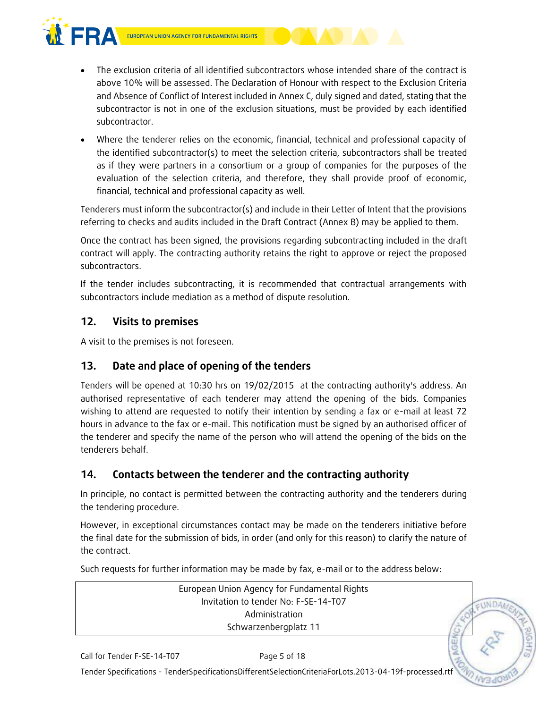

- The exclusion criteria of all identified subcontractors whose intended share of the contract is above 10% will be assessed. The Declaration of Honour with respect to the Exclusion Criteria and Absence of Conflict of Interest included in Annex C, duly signed and dated, stating that the subcontractor is not in one of the exclusion situations, must be provided by each identified subcontractor.
- Where the tenderer relies on the economic, financial, technical and professional capacity of the identified subcontractor(s) to meet the selection criteria, subcontractors shall be treated as if they were partners in a consortium or a group of companies for the purposes of the evaluation of the selection criteria, and therefore, they shall provide proof of economic, financial, technical and professional capacity as well.

Tenderers must inform the subcontractor(s) and include in their Letter of Intent that the provisions referring to checks and audits included in the Draft Contract (Annex B) may be applied to them.

Once the contract has been signed, the provisions regarding subcontracting included in the draft contract will apply. The contracting authority retains the right to approve or reject the proposed subcontractors.

If the tender includes subcontracting, it is recommended that contractual arrangements with subcontractors include mediation as a method of dispute resolution.

# **12. Visits to premises**

A visit to the premises is not foreseen.

# **13. Date and place of opening of the tenders**

Tenders will be opened at 10:30 hrs on 19/02/2015 at the contracting authority's address. An authorised representative of each tenderer may attend the opening of the bids. Companies wishing to attend are requested to notify their intention by sending a fax or e-mail at least 72 hours in advance to the fax or e-mail. This notification must be signed by an authorised officer of the tenderer and specify the name of the person who will attend the opening of the bids on the tenderers behalf.

# **14. Contacts between the tenderer and the contracting authority**

In principle, no contact is permitted between the contracting authority and the tenderers during the tendering procedure.

However, in exceptional circumstances contact may be made on the tenderers initiative before the final date for the submission of bids, in order (and only for this reason) to clarify the nature of the contract.

Such requests for further information may be made by fax, e-mail or to the address below:

European Union Agency for Fundamental Rights Invitation to tender No: F-SE-14-T07 Administration Schwarzenbergplatz 11

**UNDAN**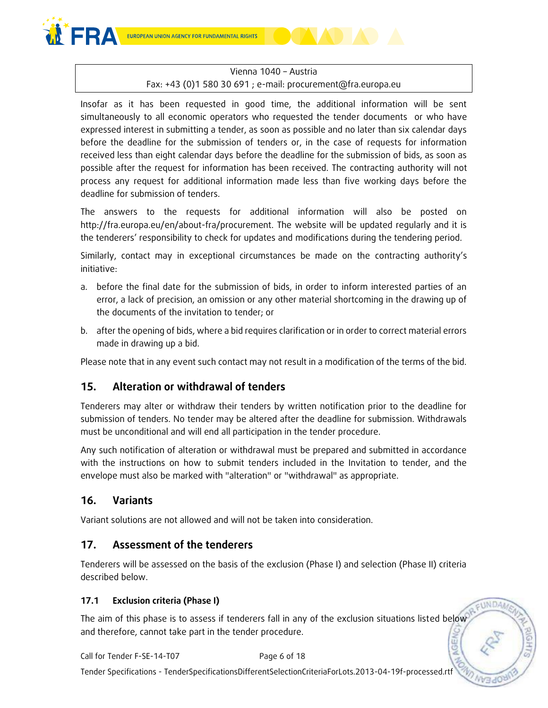

# Vienna 1040 – Austria

### Fax: +43 (0)1 580 30 691 ; e-mail: procurement@fra.europa.eu

Insofar as it has been requested in good time, the additional information will be sent simultaneously to all economic operators who requested the tender documents or who have expressed interest in submitting a tender, as soon as possible and no later than six calendar days before the deadline for the submission of tenders or, in the case of requests for information received less than eight calendar days before the deadline for the submission of bids, as soon as possible after the request for information has been received. The contracting authority will not process any request for additional information made less than five working days before the deadline for submission of tenders.

The answers to the requests for additional information will also be posted on http://fra.europa.eu/en/about-fra/procurement. The website will be updated regularly and it is the tenderers' responsibility to check for updates and modifications during the tendering period.

Similarly, contact may in exceptional circumstances be made on the contracting authority's initiative:

- a. before the final date for the submission of bids, in order to inform interested parties of an error, a lack of precision, an omission or any other material shortcoming in the drawing up of the documents of the invitation to tender; or
- b. after the opening of bids, where a bid requires clarification or in order to correct material errors made in drawing up a bid.

Please note that in any event such contact may not result in a modification of the terms of the bid.

# **15. Alteration or withdrawal of tenders**

Tenderers may alter or withdraw their tenders by written notification prior to the deadline for submission of tenders. No tender may be altered after the deadline for submission. Withdrawals must be unconditional and will end all participation in the tender procedure.

Any such notification of alteration or withdrawal must be prepared and submitted in accordance with the instructions on how to submit tenders included in the Invitation to tender, and the envelope must also be marked with "alteration" or "withdrawal" as appropriate.

# **16. Variants**

Variant solutions are not allowed and will not be taken into consideration.

# **17. Assessment of the tenderers**

Tenderers will be assessed on the basis of the exclusion (Phase I) and selection (Phase II) criteria described below.

CUNDA

MGEI

### **17.1 Exclusion criteria (Phase I)**

The aim of this phase is to assess if tenderers fall in any of the exclusion situations listed below and therefore, cannot take part in the tender procedure.

Call for Tender F-SE-14-T07 Page 6 of 18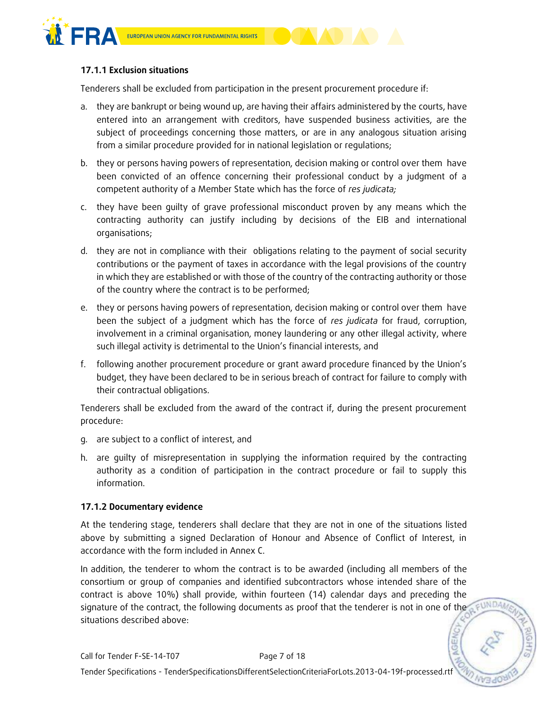

### **17.1.1 Exclusion situations**

Tenderers shall be excluded from participation in the present procurement procedure if:

- a. they are bankrupt or being wound up, are having their affairs administered by the courts, have entered into an arrangement with creditors, have suspended business activities, are the subject of proceedings concerning those matters, or are in any analogous situation arising from a similar procedure provided for in national legislation or regulations;
- b. they or persons having powers of representation, decision making or control over them have been convicted of an offence concerning their professional conduct by a judgment of a competent authority of a Member State which has the force of *res judicata;*
- c. they have been guilty of grave professional misconduct proven by any means which the contracting authority can justify including by decisions of the EIB and international organisations;
- d. they are not in compliance with their obligations relating to the payment of social security contributions or the payment of taxes in accordance with the legal provisions of the country in which they are established or with those of the country of the contracting authority or those of the country where the contract is to be performed;
- e. they or persons having powers of representation, decision making or control over them have been the subject of a judgment which has the force of *res judicata* for fraud, corruption, involvement in a criminal organisation, money laundering or any other illegal activity, where such illegal activity is detrimental to the Union's financial interests, and
- f. following another procurement procedure or grant award procedure financed by the Union's budget, they have been declared to be in serious breach of contract for failure to comply with their contractual obligations.

Tenderers shall be excluded from the award of the contract if, during the present procurement procedure:

- g. are subject to a conflict of interest, and
- h. are guilty of misrepresentation in supplying the information required by the contracting authority as a condition of participation in the contract procedure or fail to supply this information.

### **17.1.2 Documentary evidence**

At the tendering stage, tenderers shall declare that they are not in one of the situations listed above by submitting a signed Declaration of Honour and Absence of Conflict of Interest, in accordance with the form included in Annex C.

In addition, the tenderer to whom the contract is to be awarded (including all members of the consortium or group of companies and identified subcontractors whose intended share of the contract is above 10%) shall provide, within fourteen (14) calendar days and preceding the signature of the contract, the following documents as proof that the tenderer is not in one of the a FUNDAM situations described above: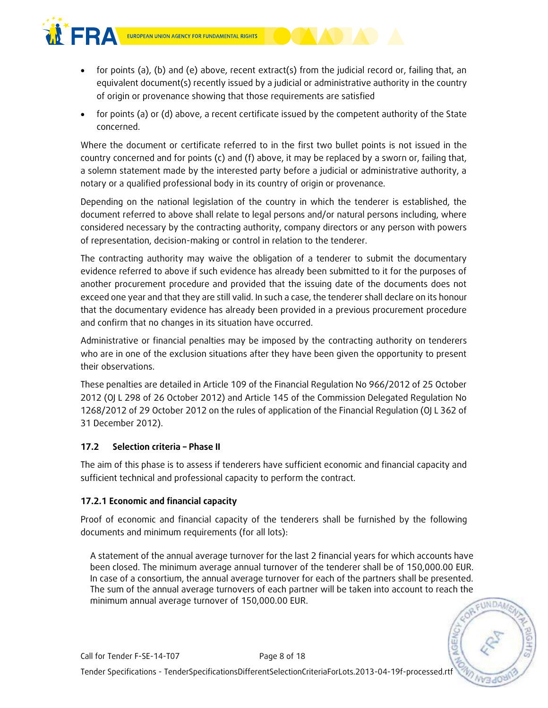

- for points (a), (b) and (e) above, recent extract(s) from the judicial record or, failing that, an equivalent document(s) recently issued by a judicial or administrative authority in the country of origin or provenance showing that those requirements are satisfied
- for points (a) or (d) above, a recent certificate issued by the competent authority of the State concerned.

Where the document or certificate referred to in the first two bullet points is not issued in the country concerned and for points (c) and (f) above, it may be replaced by a sworn or, failing that, a solemn statement made by the interested party before a judicial or administrative authority, a notary or a qualified professional body in its country of origin or provenance.

Depending on the national legislation of the country in which the tenderer is established, the document referred to above shall relate to legal persons and/or natural persons including, where considered necessary by the contracting authority, company directors or any person with powers of representation, decision-making or control in relation to the tenderer.

The contracting authority may waive the obligation of a tenderer to submit the documentary evidence referred to above if such evidence has already been submitted to it for the purposes of another procurement procedure and provided that the issuing date of the documents does not exceed one year and that they are still valid. In such a case, the tenderer shall declare on its honour that the documentary evidence has already been provided in a previous procurement procedure and confirm that no changes in its situation have occurred.

Administrative or financial penalties may be imposed by the contracting authority on tenderers who are in one of the exclusion situations after they have been given the opportunity to present their observations.

These penalties are detailed in Article 109 of the Financial Regulation No 966/2012 of 25 October 2012 (OJ L 298 of 26 October 2012) and Article 145 of the Commission Delegated Regulation No 1268/2012 of 29 October 2012 on the rules of application of the Financial Regulation (OJ L 362 of 31 December 2012).

### **17.2 Selection criteria – Phase II**

The aim of this phase is to assess if tenderers have sufficient economic and financial capacity and sufficient technical and professional capacity to perform the contract.

### **17.2.1 Economic and financial capacity**

Proof of economic and financial capacity of the tenderers shall be furnished by the following documents and minimum requirements (for all lots):

A statement of the annual average turnover for the last 2 financial years for which accounts have been closed. The minimum average annual turnover of the tenderer shall be of 150,000.00 EUR. In case of a consortium, the annual average turnover for each of the partners shall be presented. The sum of the annual average turnovers of each partner will be taken into account to reach the minimum annual average turnover of 150,000.00 EUR.

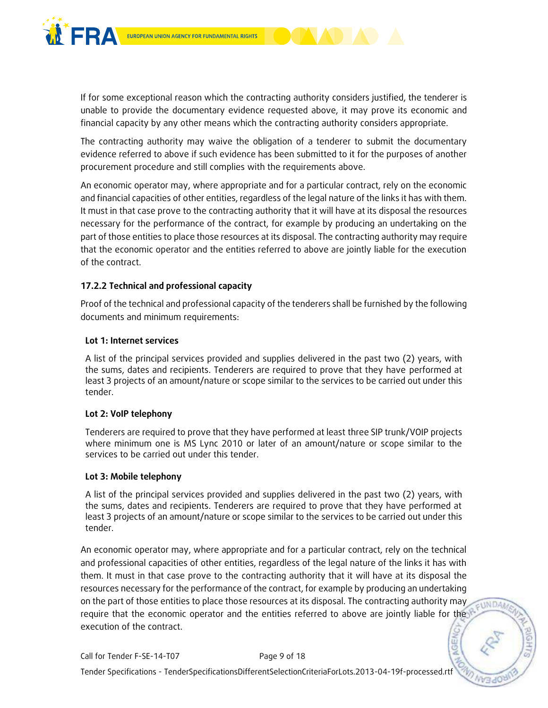

If for some exceptional reason which the contracting authority considers justified, the tenderer is unable to provide the documentary evidence requested above, it may prove its economic and financial capacity by any other means which the contracting authority considers appropriate.

The contracting authority may waive the obligation of a tenderer to submit the documentary evidence referred to above if such evidence has been submitted to it for the purposes of another procurement procedure and still complies with the requirements above.

An economic operator may, where appropriate and for a particular contract, rely on the economic and financial capacities of other entities, regardless of the legal nature of the links it has with them. It must in that case prove to the contracting authority that it will have at its disposal the resources necessary for the performance of the contract, for example by producing an undertaking on the part of those entities to place those resources at its disposal. The contracting authority may require that the economic operator and the entities referred to above are jointly liable for the execution of the contract.

### **17.2.2 Technical and professional capacity**

Proof of the technical and professional capacity of the tenderers shall be furnished by the following documents and minimum requirements:

### **Lot 1: Internet services**

A list of the principal services provided and supplies delivered in the past two (2) years, with the sums, dates and recipients. Tenderers are required to prove that they have performed at least 3 projects of an amount/nature or scope similar to the services to be carried out under this tender.

#### **Lot 2: VoIP telephony**

Tenderers are required to prove that they have performed at least three SIP trunk/VOIP projects where minimum one is MS Lync 2010 or later of an amount/nature or scope similar to the services to be carried out under this tender.

#### **Lot 3: Mobile telephony**

A list of the principal services provided and supplies delivered in the past two (2) years, with the sums, dates and recipients. Tenderers are required to prove that they have performed at least 3 projects of an amount/nature or scope similar to the services to be carried out under this tender.

An economic operator may, where appropriate and for a particular contract, rely on the technical and professional capacities of other entities, regardless of the legal nature of the links it has with them. It must in that case prove to the contracting authority that it will have at its disposal the resources necessary for the performance of the contract, for example by producing an undertaking on the part of those entities to place those resources at its disposal. The contracting authority may require that the economic operator and the entities referred to above are jointly liable for the execution of the contract.

EUNDAM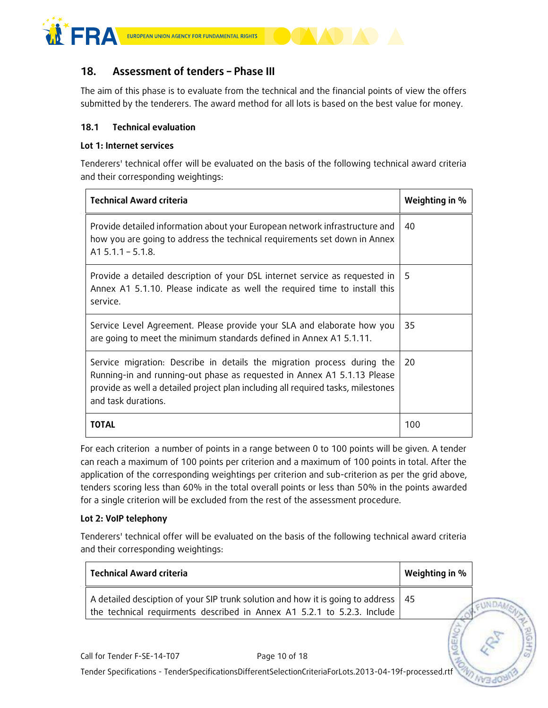

# **18. Assessment of tenders – Phase III**

The aim of this phase is to evaluate from the technical and the financial points of view the offers submitted by the tenderers. The award method for all lots is based on the best value for money.

### **18.1 Technical evaluation**

### **Lot 1: Internet services**

Tenderers' technical offer will be evaluated on the basis of the following technical award criteria and their corresponding weightings:

| <b>Technical Award criteria</b>                                                                                                                                                                                                                               | Weighting in % |
|---------------------------------------------------------------------------------------------------------------------------------------------------------------------------------------------------------------------------------------------------------------|----------------|
| Provide detailed information about your European network infrastructure and<br>how you are going to address the technical requirements set down in Annex<br>$A1 5.1.1 - 5.1.8$ .                                                                              | 40             |
| Provide a detailed description of your DSL internet service as requested in<br>Annex A1 5.1.10. Please indicate as well the required time to install this<br>service.                                                                                         | 5              |
| Service Level Agreement. Please provide your SLA and elaborate how you<br>are going to meet the minimum standards defined in Annex A1 5.1.11.                                                                                                                 | 35             |
| Service migration: Describe in details the migration process during the<br>Running-in and running-out phase as requested in Annex A1 5.1.13 Please<br>provide as well a detailed project plan including all required tasks, milestones<br>and task durations. | 20             |
| TOTAL                                                                                                                                                                                                                                                         | 100            |

For each criterion a number of points in a range between 0 to 100 points will be given. A tender can reach a maximum of 100 points per criterion and a maximum of 100 points in total. After the application of the corresponding weightings per criterion and sub-criterion as per the grid above, tenders scoring less than 60% in the total overall points or less than 50% in the points awarded for a single criterion will be excluded from the rest of the assessment procedure.

### **Lot 2: VoIP telephony**

Tenderers' technical offer will be evaluated on the basis of the following technical award criteria and their corresponding weightings:

| <b>Technical Award criteria</b> |                                                                                                                                                            | Weighting in % |
|---------------------------------|------------------------------------------------------------------------------------------------------------------------------------------------------------|----------------|
|                                 | A detailed desciption of your SIP trunk solution and how it is going to address<br>the technical requirments described in Annex A1 5.2.1 to 5.2.3. Include | 45             |
| Call for Tender F-SE-14-T07     | Page 10 of 18                                                                                                                                              |                |
|                                 | Tender Specifications - TenderSpecificationsDifferentSelectionCriteriaForLots.2013-04-19f-processed.rtf                                                    |                |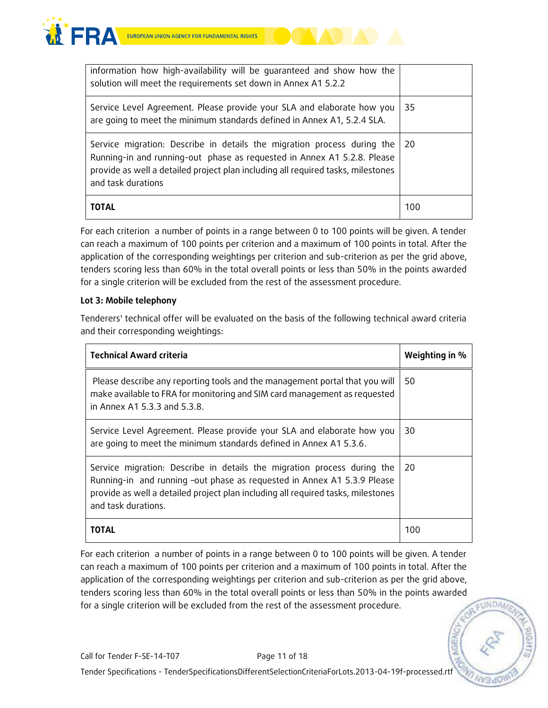



For each criterion a number of points in a range between 0 to 100 points will be given. A tender can reach a maximum of 100 points per criterion and a maximum of 100 points in total. After the application of the corresponding weightings per criterion and sub-criterion as per the grid above, tenders scoring less than 60% in the total overall points or less than 50% in the points awarded for a single criterion will be excluded from the rest of the assessment procedure.

### **Lot 3: Mobile telephony**

Tenderers' technical offer will be evaluated on the basis of the following technical award criteria and their corresponding weightings:

| <b>Technical Award criteria</b>                                                                                                                                                                                                                               | Weighting in % |
|---------------------------------------------------------------------------------------------------------------------------------------------------------------------------------------------------------------------------------------------------------------|----------------|
| Please describe any reporting tools and the management portal that you will<br>make available to FRA for monitoring and SIM card management as requested<br>in Annex A1 5.3.3 and 5.3.8.                                                                      | 50             |
| Service Level Agreement. Please provide your SLA and elaborate how you<br>are going to meet the minimum standards defined in Annex A1 5.3.6.                                                                                                                  | 30             |
| Service migration: Describe in details the migration process during the<br>Running-in and running -out phase as requested in Annex A1 5.3.9 Please<br>provide as well a detailed project plan including all required tasks, milestones<br>and task durations. | 20             |
| TOTAL                                                                                                                                                                                                                                                         | 100            |

For each criterion a number of points in a range between 0 to 100 points will be given. A tender can reach a maximum of 100 points per criterion and a maximum of 100 points in total. After the application of the corresponding weightings per criterion and sub-criterion as per the grid above, tenders scoring less than 60% in the total overall points or less than 50% in the points awarded for a single criterion will be excluded from the rest of the assessment procedure.

**EUNDA**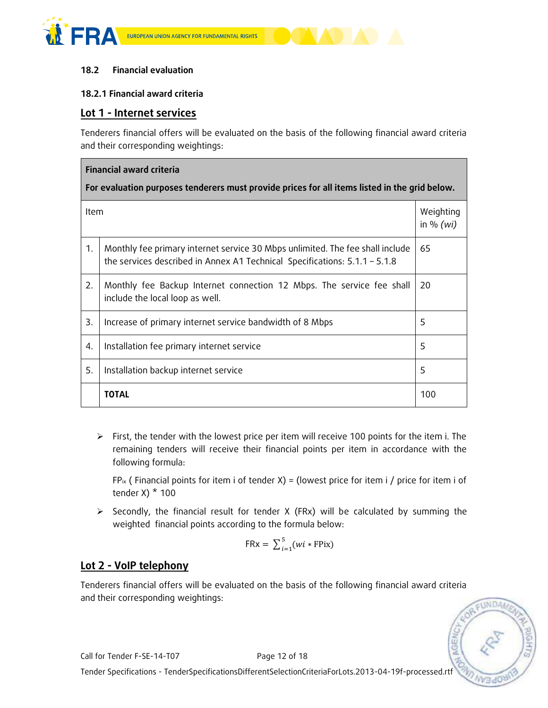



### **18.2 Financial evaluation**

### **18.2.1 Financial award criteria**

### **Lot 1 - Internet services**

Tenderers financial offers will be evaluated on the basis of the following financial award criteria and their corresponding weightings:

| <b>Financial award criteria</b>                                                               |                                                                                                                                                               |                          |  |
|-----------------------------------------------------------------------------------------------|---------------------------------------------------------------------------------------------------------------------------------------------------------------|--------------------------|--|
| For evaluation purposes tenderers must provide prices for all items listed in the grid below. |                                                                                                                                                               |                          |  |
| <b>Item</b>                                                                                   |                                                                                                                                                               | Weighting<br>in % $(wi)$ |  |
| 1.                                                                                            | Monthly fee primary internet service 30 Mbps unlimited. The fee shall include<br>the services described in Annex A1 Technical Specifications: $5.1.1 - 5.1.8$ | 65                       |  |
| 2.                                                                                            | Monthly fee Backup Internet connection 12 Mbps. The service fee shall<br>include the local loop as well.                                                      | 20                       |  |
| 3.                                                                                            | Increase of primary internet service bandwidth of 8 Mbps                                                                                                      | 5                        |  |
| 4.                                                                                            | Installation fee primary internet service                                                                                                                     | 5                        |  |
| 5.                                                                                            | Installation backup internet service                                                                                                                          | 5                        |  |
|                                                                                               | <b>TOTAL</b>                                                                                                                                                  | 100                      |  |

 $\triangleright$  First, the tender with the lowest price per item will receive 100 points for the item i. The remaining tenders will receive their financial points per item in accordance with the following formula:

 $FP_{ix}$  (Financial points for item i of tender X) = (lowest price for item i / price for item i of tender X $*$  100

 $\triangleright$  Secondly, the financial result for tender X (FRx) will be calculated by summing the weighted financial points according to the formula below:

$$
FRx = \sum_{i=1}^{5} (wi * FPix)
$$

# **Lot 2 - VoIP telephony**

Tenderers financial offers will be evaluated on the basis of the following financial award criteria and their corresponding weightings:

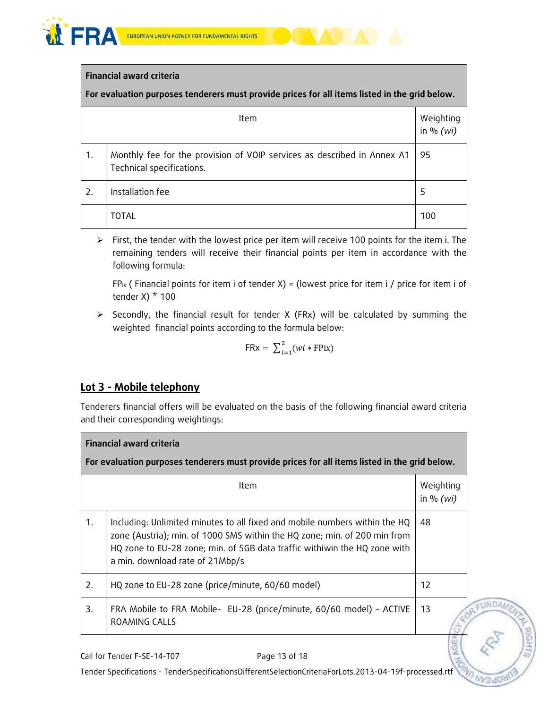

### **Financial award criteria**

**For evaluation purposes tenderers must provide prices for all items listed in the grid below.**

|    | <b>Item</b>                                                                                          | Weighting<br>in % $(wi)$ |
|----|------------------------------------------------------------------------------------------------------|--------------------------|
| 1. | Monthly fee for the provision of VOIP services as described in Annex A1<br>Technical specifications. | 95                       |
| 2. | Installation fee                                                                                     | 5                        |
|    | TOTAL                                                                                                | 100                      |

 $\triangleright$  First, the tender with the lowest price per item will receive 100 points for the item i. The remaining tenders will receive their financial points per item in accordance with the following formula:

 $FP_{ix}$  (Financial points for item i of tender X) = (lowest price for item i / price for item i of tender X $*$  100

 $\triangleright$  Secondly, the financial result for tender X (FRx) will be calculated by summing the weighted financial points according to the formula below:

$$
FRx = \sum_{i=1}^{2} (wi * FPix)
$$

# **Lot 3 - Mobile telephony**

Tenderers financial offers will be evaluated on the basis of the following financial award criteria and their corresponding weightings:

|                | <b>Financial award criteria</b>                                                                                                                                                                                                                                         |                          |  |
|----------------|-------------------------------------------------------------------------------------------------------------------------------------------------------------------------------------------------------------------------------------------------------------------------|--------------------------|--|
|                | For evaluation purposes tenderers must provide prices for all items listed in the grid below.                                                                                                                                                                           |                          |  |
|                | <b>Item</b>                                                                                                                                                                                                                                                             | Weighting<br>in % $(wi)$ |  |
| $\mathbf{1}$ . | Including: Unlimited minutes to all fixed and mobile numbers within the HQ<br>zone (Austria); min. of 1000 SMS within the HQ zone; min. of 200 min from<br>HQ zone to EU-28 zone; min. of 5GB data traffic withiwin the HQ zone with<br>a min. download rate of 21Mbp/s | 48                       |  |
| 2.             | HQ zone to EU-28 zone (price/minute, 60/60 model)                                                                                                                                                                                                                       | 12                       |  |
| 3.             | FRA Mobile to FRA Mobile- EU-28 (price/minute, 60/60 model) - ACTIVE<br>ROAMING CALLS                                                                                                                                                                                   | 13                       |  |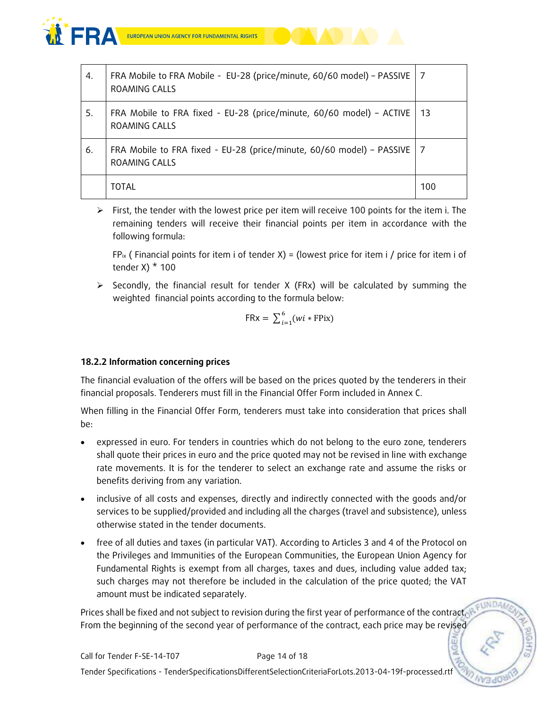

| 4. | FRA Mobile to FRA Mobile - EU-28 (price/minute, 60/60 model) - PASSIVE   7<br>ROAMING CALLS |     |
|----|---------------------------------------------------------------------------------------------|-----|
| 5. | FRA Mobile to FRA fixed - EU-28 (price/minute, 60/60 model) – ACTIVE   13<br>ROAMING CALLS  |     |
| 6. | FRA Mobile to FRA fixed - EU-28 (price/minute, 60/60 model) - PASSIVE   7<br>ROAMING CALLS  |     |
|    | TOTAL                                                                                       | 100 |

 $\triangleright$  First, the tender with the lowest price per item will receive 100 points for the item i. The remaining tenders will receive their financial points per item in accordance with the following formula:

 $FP_{ix}$  (Financial points for item i of tender X) = (lowest price for item i / price for item i of tender  $X$ )  $*$  100

 $\triangleright$  Secondly, the financial result for tender X (FRx) will be calculated by summing the weighted financial points according to the formula below:

$$
FRx = \sum_{i=1}^{6} (wi * FPix)
$$

### **18.2.2 Information concerning prices**

The financial evaluation of the offers will be based on the prices quoted by the tenderers in their financial proposals. Tenderers must fill in the Financial Offer Form included in Annex C.

When filling in the Financial Offer Form, tenderers must take into consideration that prices shall be:

- expressed in euro. For tenders in countries which do not belong to the euro zone, tenderers shall quote their prices in euro and the price quoted may not be revised in line with exchange rate movements. It is for the tenderer to select an exchange rate and assume the risks or benefits deriving from any variation.
- inclusive of all costs and expenses, directly and indirectly connected with the goods and/or services to be supplied/provided and including all the charges (travel and subsistence), unless otherwise stated in the tender documents.
- free of all duties and taxes (in particular VAT). According to Articles 3 and 4 of the Protocol on the Privileges and Immunities of the European Communities, the European Union Agency for Fundamental Rights is exempt from all charges, taxes and dues, including value added tax; such charges may not therefore be included in the calculation of the price quoted; the VAT amount must be indicated separately.

Prices shall be fixed and not subject to revision during the first year of performance of the contract. From the beginning of the second year of performance of the contract, each price may be revised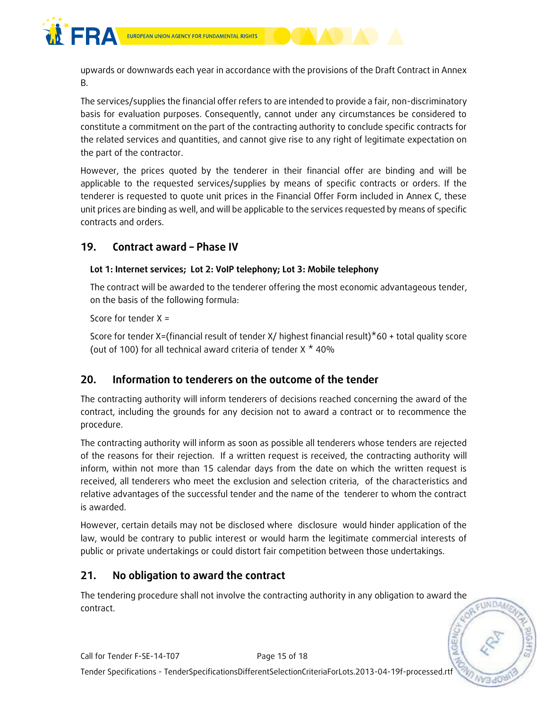

upwards or downwards each year in accordance with the provisions of the Draft Contract in Annex B.

The services/supplies the financial offer refers to are intended to provide a fair, non-discriminatory basis for evaluation purposes. Consequently, cannot under any circumstances be considered to constitute a commitment on the part of the contracting authority to conclude specific contracts for the related services and quantities, and cannot give rise to any right of legitimate expectation on the part of the contractor.

However, the prices quoted by the tenderer in their financial offer are binding and will be applicable to the requested services/supplies by means of specific contracts or orders. If the tenderer is requested to quote unit prices in the Financial Offer Form included in Annex C, these unit prices are binding as well, and will be applicable to the services requested by means of specific contracts and orders.

# **19. Contract award – Phase IV**

### **Lot 1: Internet services; Lot 2: VoIP telephony; Lot 3: Mobile telephony**

The contract will be awarded to the tenderer offering the most economic advantageous tender, on the basis of the following formula:

Score for tender X =

Score for tender X=(financial result of tender X/ highest financial result)\*60 + total quality score (out of 100) for all technical award criteria of tender X \* 40%

# **20. Information to tenderers on the outcome of the tender**

The contracting authority will inform tenderers of decisions reached concerning the award of the contract, including the grounds for any decision not to award a contract or to recommence the procedure.

The contracting authority will inform as soon as possible all tenderers whose tenders are rejected of the reasons for their rejection. If a written request is received, the contracting authority will inform, within not more than 15 calendar days from the date on which the written request is received, all tenderers who meet the exclusion and selection criteria, of the characteristics and relative advantages of the successful tender and the name of the tenderer to whom the contract is awarded.

However, certain details may not be disclosed where disclosure would hinder application of the law, would be contrary to public interest or would harm the legitimate commercial interests of public or private undertakings or could distort fair competition between those undertakings.

# **21. No obligation to award the contract**

The tendering procedure shall not involve the contracting authority in any obligation to award the contract.

FUNDAM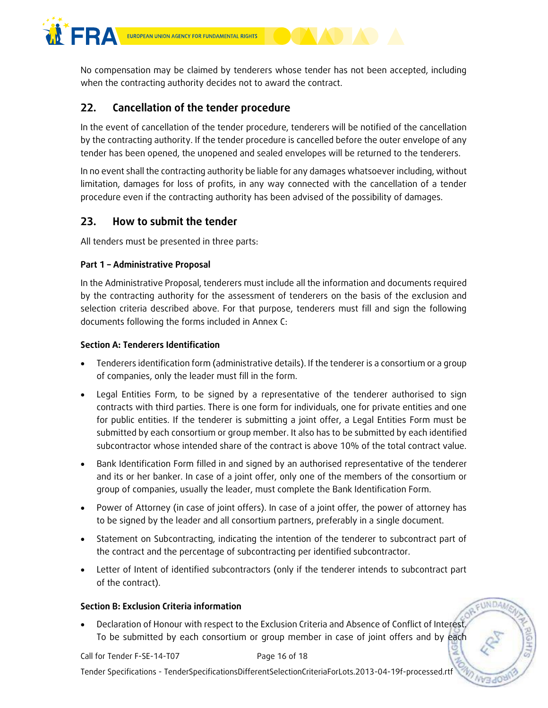

No compensation may be claimed by tenderers whose tender has not been accepted, including when the contracting authority decides not to award the contract.

# **22. Cancellation of the tender procedure**

In the event of cancellation of the tender procedure, tenderers will be notified of the cancellation by the contracting authority. If the tender procedure is cancelled before the outer envelope of any tender has been opened, the unopened and sealed envelopes will be returned to the tenderers.

In no event shall the contracting authority be liable for any damages whatsoever including, without limitation, damages for loss of profits, in any way connected with the cancellation of a tender procedure even if the contracting authority has been advised of the possibility of damages.

# **23. How to submit the tender**

All tenders must be presented in three parts:

### **Part 1 – Administrative Proposal**

In the Administrative Proposal, tenderers must include all the information and documents required by the contracting authority for the assessment of tenderers on the basis of the exclusion and selection criteria described above. For that purpose, tenderers must fill and sign the following documents following the forms included in Annex C:

### **Section A: Tenderers Identification**

- Tenderers identification form (administrative details). If the tenderer is a consortium or a group of companies, only the leader must fill in the form.
- Legal Entities Form, to be signed by a representative of the tenderer authorised to sign contracts with third parties. There is one form for individuals, one for private entities and one for public entities. If the tenderer is submitting a joint offer, a Legal Entities Form must be submitted by each consortium or group member. It also has to be submitted by each identified subcontractor whose intended share of the contract is above 10% of the total contract value.
- Bank Identification Form filled in and signed by an authorised representative of the tenderer and its or her banker. In case of a joint offer, only one of the members of the consortium or group of companies, usually the leader, must complete the Bank Identification Form.
- Power of Attorney (in case of joint offers). In case of a joint offer, the power of attorney has to be signed by the leader and all consortium partners, preferably in a single document.
- Statement on Subcontracting, indicating the intention of the tenderer to subcontract part of the contract and the percentage of subcontracting per identified subcontractor.
- Letter of Intent of identified subcontractors (only if the tenderer intends to subcontract part of the contract).

### **Section B: Exclusion Criteria information**

 Declaration of Honour with respect to the Exclusion Criteria and Absence of Conflict of Interest. To be submitted by each consortium or group member in case of joint offers and by each

Call for Tender F-SE-14-T07 Page 16 of 18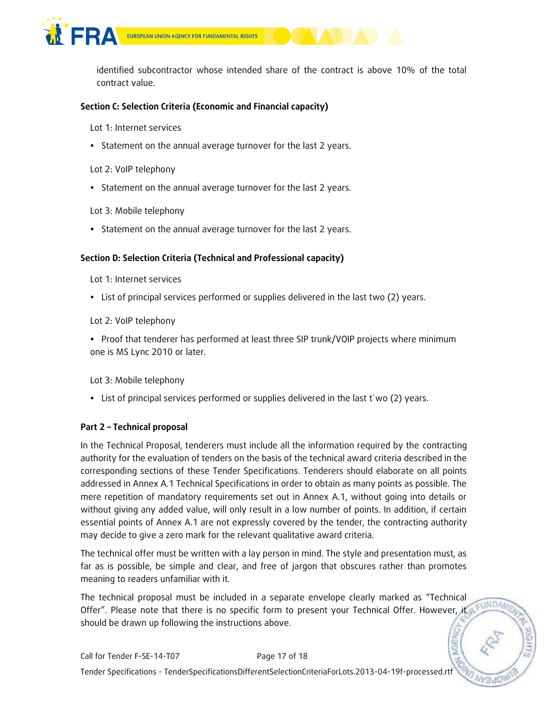

EUROPEAN UNION AGENCY FOR FUNDAMENTAL RIGHTS

identified subcontractor whose intended share of the contract is above 10% of the total contract value.

### **Section C: Selection Criteria (Economic and Financial capacity)**

Lot 1: Internet services

• Statement on the annual average turnover for the last 2 years.

Lot 2: VoIP telephony

• Statement on the annual average turnover for the last 2 years.

Lot 3: Mobile telephony

• Statement on the annual average turnover for the last 2 years.

### **Section D: Selection Criteria (Technical and Professional capacity)**

Lot 1: Internet services

List of principal services performed or supplies delivered in the last two (2) years.

Lot 2: VoIP telephony

• Proof that tenderer has performed at least three SIP trunk/VOIP projects where minimum one is MS Lync 2010 or later.

Lot 3: Mobile telephony

List of principal services performed or supplies delivered in the last t`wo (2) years.

### **Part 2 – Technical proposal**

In the Technical Proposal, tenderers must include all the information required by the contracting authority for the evaluation of tenders on the basis of the technical award criteria described in the corresponding sections of these Tender Specifications. Tenderers should elaborate on all points addressed in Annex A.1 Technical Specifications in order to obtain as many points as possible. The mere repetition of mandatory requirements set out in Annex A.1, without going into details or without giving any added value, will only result in a low number of points. In addition, if certain essential points of Annex A.1 are not expressly covered by the tender, the contracting authority may decide to give a zero mark for the relevant qualitative award criteria.

The technical offer must be written with a lay person in mind. The style and presentation must, as far as is possible, be simple and clear, and free of jargon that obscures rather than promotes meaning to readers unfamiliar with it.

The technical proposal must be included in a separate envelope clearly marked as "Technical Offer". Please note that there is no specific form to present your Technical Offer. However, it should be drawn up following the instructions above.